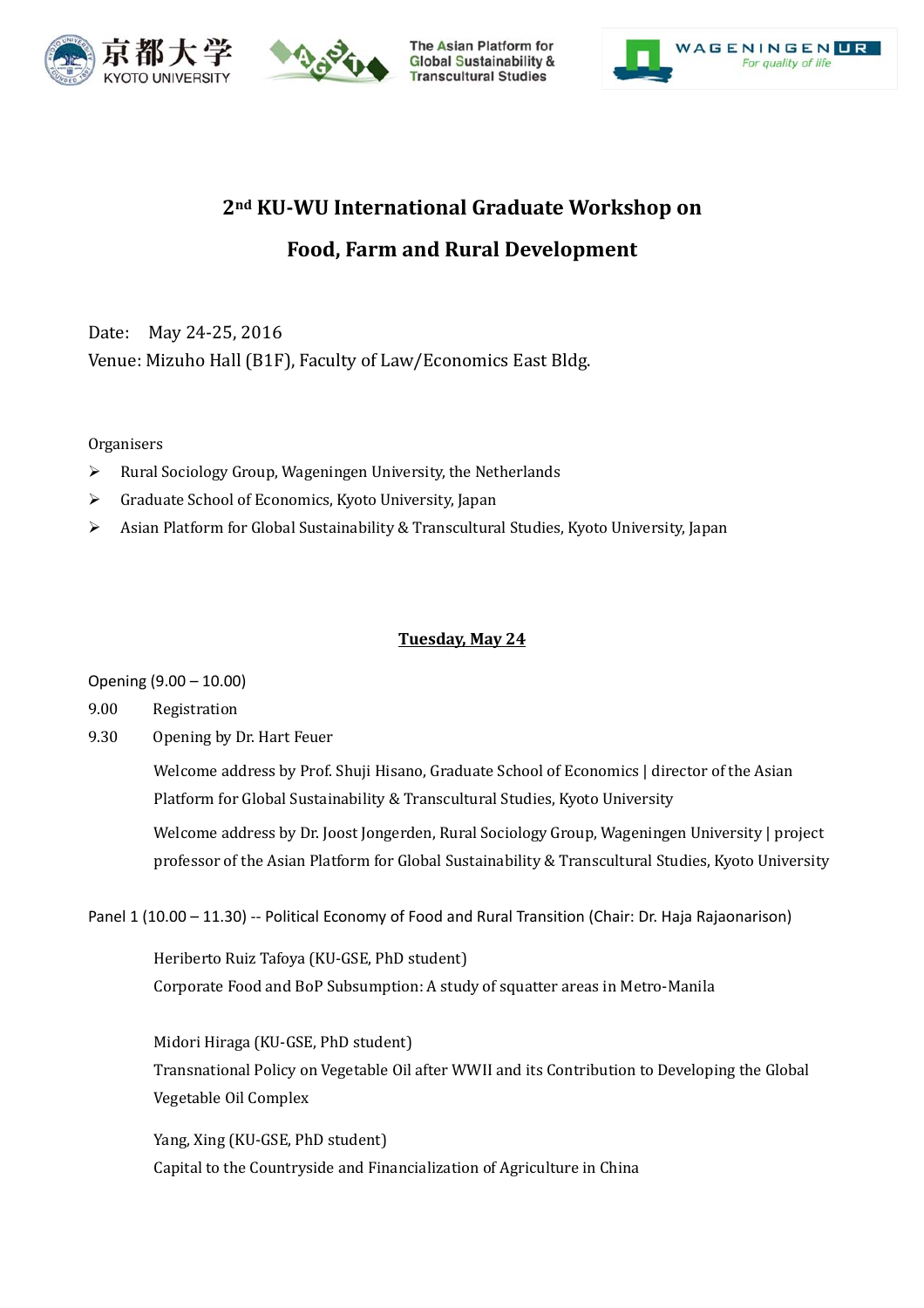





# **2nd KU‐WU International Graduate Workshop on**

# **Food, Farm and Rural Development**

Date: May 24-25, 2016 Venue: Mizuho Hall (B1F), Faculty of Law/Economics East Bldg.

# **Organisers**

- $\triangleright$  Rural Sociology Group, Wageningen University, the Netherlands
- $\triangleright$  Graduate School of Economics, Kyoto University, Japan
- $\triangleright$  Asian Platform for Global Sustainability & Transcultural Studies, Kyoto University, Japan

# **Tuesday, May 24**

Opening (9.00 – 10.00)

9.00 Registration 

9.30 Opening by Dr. Hart Feuer

Welcome address by Prof. Shuji Hisano, Graduate School of Economics | director of the Asian Platform for Global Sustainability & Transcultural Studies, Kyoto University

Welcome address by Dr. Joost Jongerden, Rural Sociology Group, Wageningen University | project professor of the Asian Platform for Global Sustainability & Transcultural Studies, Kyoto University

Panel 1 (10.00 – 11.30) -- Political Economy of Food and Rural Transition (Chair: Dr. Haja Rajaonarison)

Heriberto Ruiz Tafoya (KU-GSE, PhD student) Corporate Food and BoP Subsumption: A study of squatter areas in Metro-Manila

Midori Hiraga (KU-GSE, PhD student) Transnational Policy on Vegetable Oil after WWII and its Contribution to Developing the Global Vegetable Oil Complex 

Yang, Xing (KU-GSE, PhD student) Capital to the Countryside and Financialization of Agriculture in China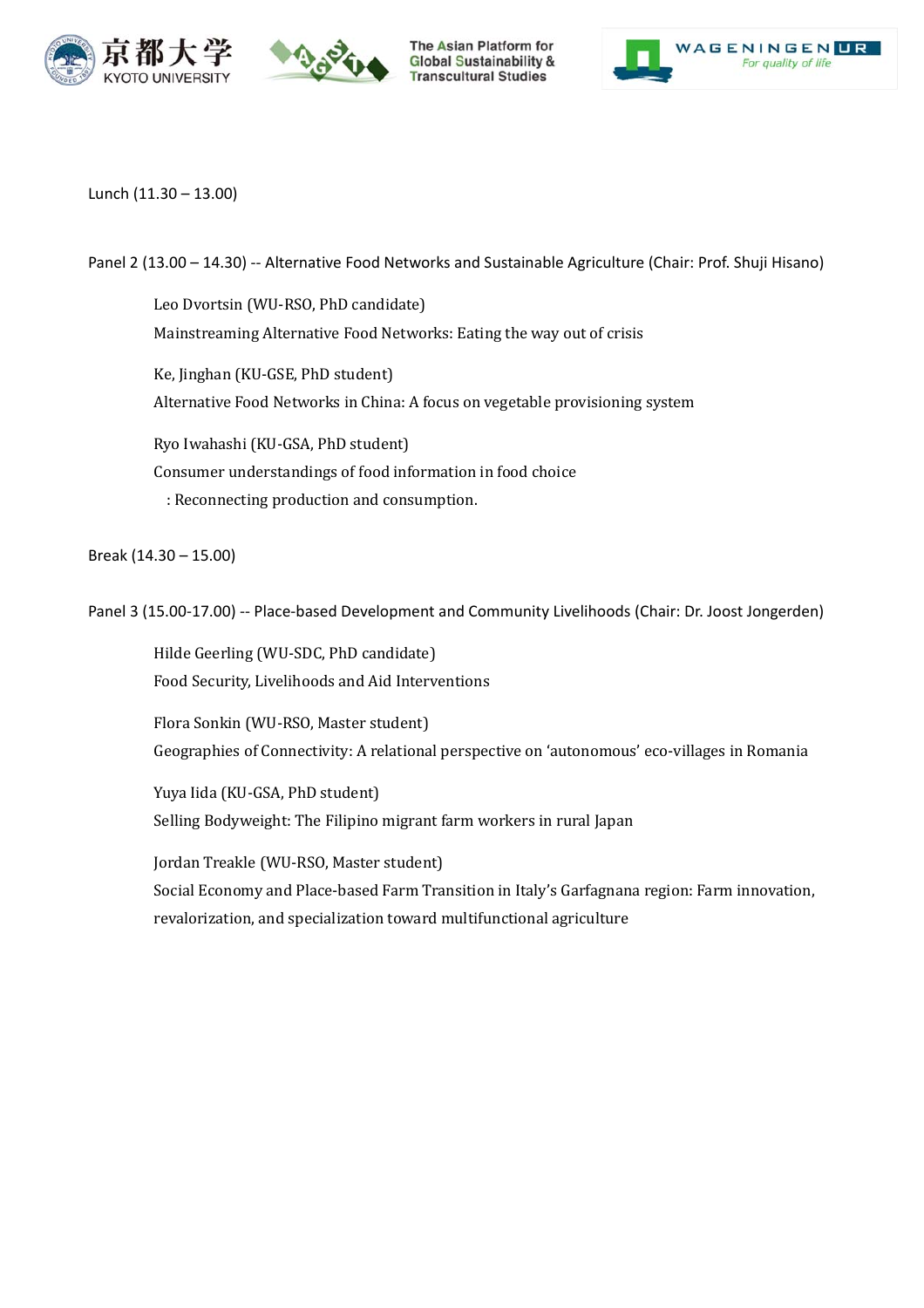





Lunch (11.30 – 13.00)

### Panel 2 (13.00 – 14.30) -- Alternative Food Networks and Sustainable Agriculture (Chair: Prof. Shuji Hisano)

Leo Dvortsin (WU-RSO, PhD candidate) Mainstreaming Alternative Food Networks: Eating the way out of crisis

Ke, Jinghan (KU-GSE, PhD student) Alternative Food Networks in China: A focus on vegetable provisioning system

Ryo Iwahashi (KU-GSA, PhD student) Consumer understandings of food information in food choice : Reconnecting production and consumption.

Break (14.30 – 15.00)

Panel 3 (15.00-17.00) -- Place-based Development and Community Livelihoods (Chair: Dr. Joost Jongerden)

Hilde Geerling (WU-SDC, PhD candidate) Food Security, Livelihoods and Aid Interventions

Flora Sonkin (WU-RSO, Master student) Geographies of Connectivity: A relational perspective on 'autonomous' eco-villages in Romania

Yuva Iida (KU-GSA, PhD student) Selling Bodyweight: The Filipino migrant farm workers in rural Japan

Jordan Treakle (WU-RSO, Master student) Social Economy and Place-based Farm Transition in Italy's Garfagnana region: Farm innovation, revalorization, and specialization toward multifunctional agriculture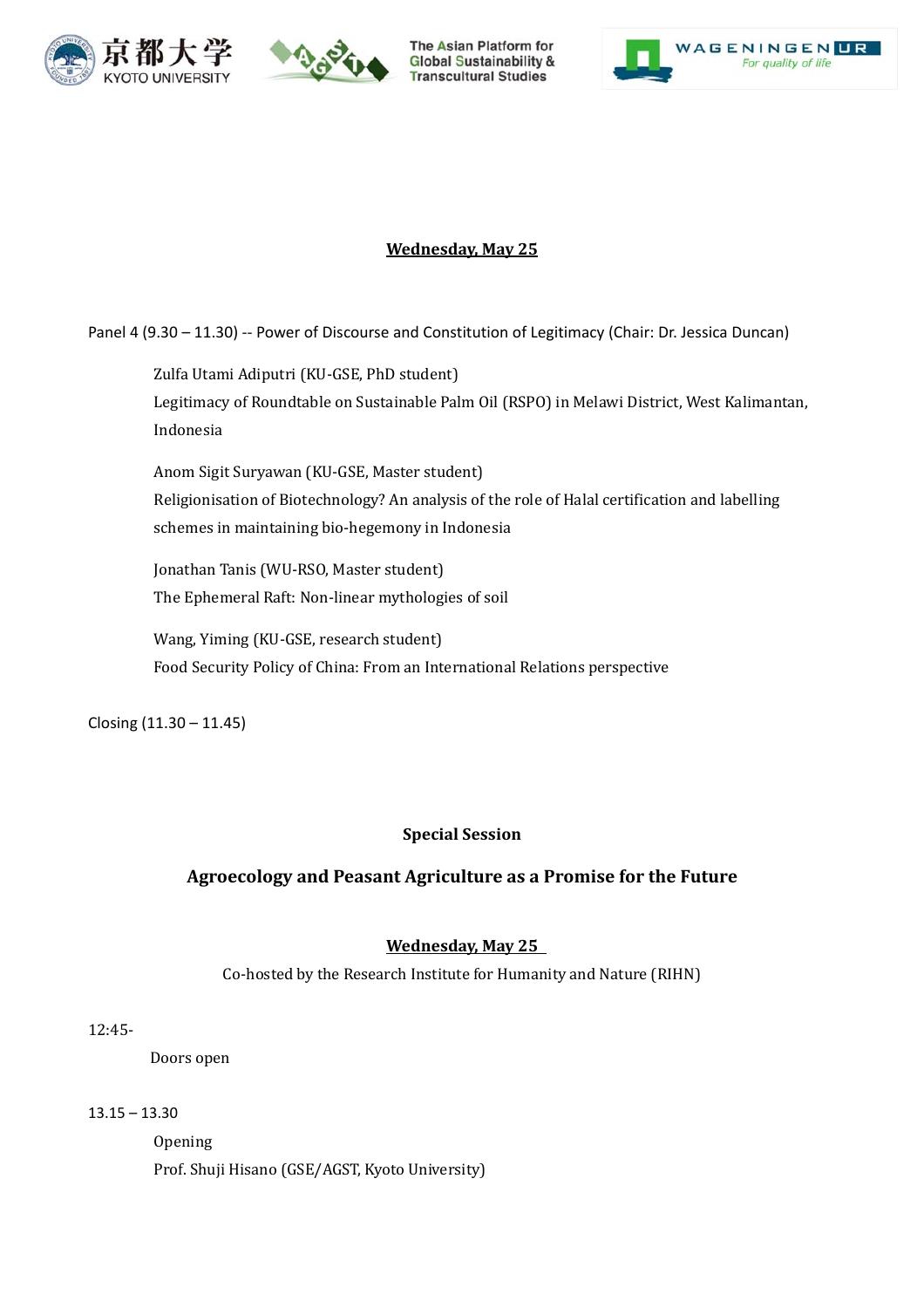





# **Wednesday, May 25**

Panel 4 (9.30 – 11.30) -- Power of Discourse and Constitution of Legitimacy (Chair: Dr. Jessica Duncan)

Zulfa Utami Adiputri (KU-GSE, PhD student) Legitimacy of Roundtable on Sustainable Palm Oil (RSPO) in Melawi District, West Kalimantan, Indonesia 

Anom Sigit Suryawan (KU-GSE, Master student) Religionisation of Biotechnology? An analysis of the role of Halal certification and labelling schemes in maintaining bio-hegemony in Indonesia

 Jonathan Tanis (WU‐RSO, Master student) The Ephemeral Raft: Non-linear mythologies of soil

Wang, Yiming (KU-GSE, research student) Food Security Policy of China: From an International Relations perspective

Closing (11.30 – 11.45)

# **Special Session**

# **Agroecology and Peasant Agriculture as a Promise for the Future**

#### **Wednesday, May 25**

Co-hosted by the Research Institute for Humanity and Nature (RIHN)

12:45‐ 

Doors open

13.15 – 13.30

 Opening Prof. Shuji Hisano (GSE/AGST, Kyoto University)